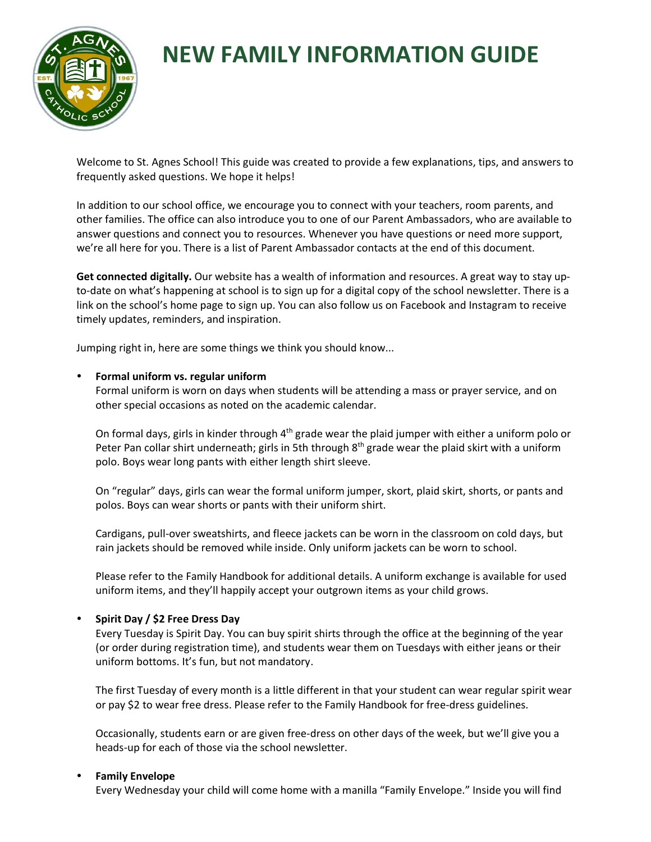

# **NEW FAMILY INFORMATION GUIDE**

Welcome to St. Agnes School! This guide was created to provide a few explanations, tips, and answers to frequently asked questions. We hope it helps!

In addition to our school office, we encourage you to connect with your teachers, room parents, and other families. The office can also introduce you to one of our Parent Ambassadors, who are available to answer questions and connect you to resources. Whenever you have questions or need more support, we're all here for you. There is a list of Parent Ambassador contacts at the end of this document.

**Get connected digitally.** Our website has a wealth of information and resources. A great way to stay upto-date on what's happening at school is to sign up for a digital copy of the school newsletter. There is a link on the school's home page to sign up. You can also follow us on Facebook and Instagram to receive timely updates, reminders, and inspiration.

Jumping right in, here are some things we think you should know...

# **Formal uniform vs. regular uniform**

Formal uniform is worn on days when students will be attending a mass or prayer service, and on other special occasions as noted on the academic calendar.

On formal days, girls in kinder through  $4<sup>th</sup>$  grade wear the plaid jumper with either a uniform polo or Peter Pan collar shirt underneath; girls in 5th through  $8<sup>th</sup>$  grade wear the plaid skirt with a uniform polo. Boys wear long pants with either length shirt sleeve.

On "regular" days, girls can wear the formal uniform jumper, skort, plaid skirt, shorts, or pants and polos. Boys can wear shorts or pants with their uniform shirt.

Cardigans, pull-over sweatshirts, and fleece jackets can be worn in the classroom on cold days, but rain jackets should be removed while inside. Only uniform jackets can be worn to school.

Please refer to the Family Handbook for additional details. A uniform exchange is available for used uniform items, and they'll happily accept your outgrown items as your child grows.

# **Spirit Day / \$2 Free Dress Day**

Every Tuesday is Spirit Day. You can buy spirit shirts through the office at the beginning of the year (or order during registration time), and students wear them on Tuesdays with either jeans or their uniform bottoms. It's fun, but not mandatory.

The first Tuesday of every month is a little different in that your student can wear regular spirit wear or pay \$2 to wear free dress. Please refer to the Family Handbook for free-dress guidelines.

Occasionally, students earn or are given free-dress on other days of the week, but we'll give you a heads-up for each of those via the school newsletter.

#### **Family Envelope**

Every Wednesday your child will come home with a manilla "Family Envelope." Inside you will find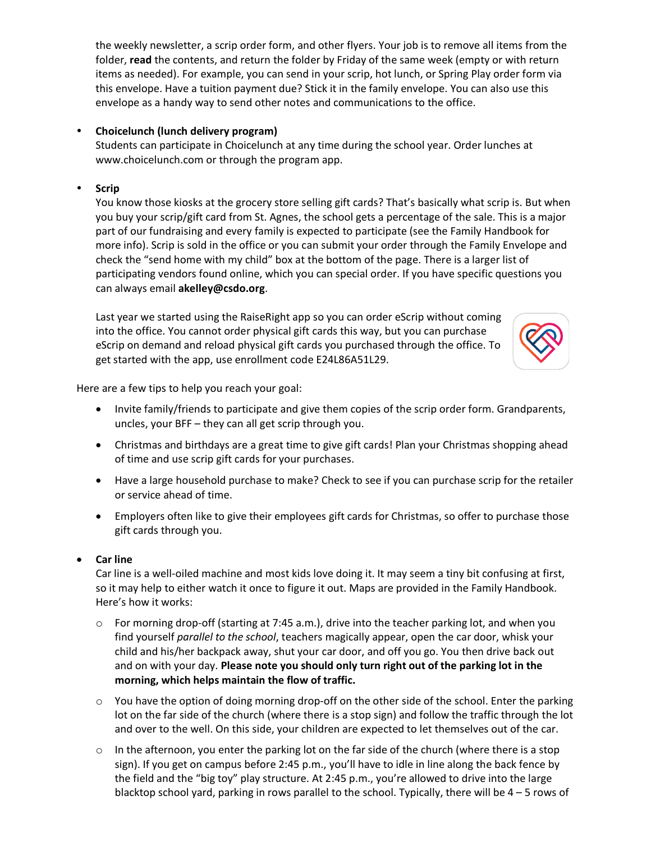the weekly newsletter, a scrip order form, and other flyers. Your job is to remove all items from the folder, **read** the contents, and return the folder by Friday of the same week (empty or with return items as needed). For example, you can send in your scrip, hot lunch, or Spring Play order form via this envelope. Have a tuition payment due? Stick it in the family envelope. You can also use this envelope as a handy way to send other notes and communications to the office.

# **Choicelunch (lunch delivery program)**

Students can participate in Choicelunch at any time during the school year. Order lunches at www.choicelunch.com or through the program app.

# **Scrip**

You know those kiosks at the grocery store selling gift cards? That's basically what scrip is. But when you buy your scrip/gift card from St. Agnes, the school gets a percentage of the sale. This is a major part of our fundraising and every family is expected to participate (see the Family Handbook for more info). Scrip is sold in the office or you can submit your order through the Family Envelope and check the "send home with my child" box at the bottom of the page. There is a larger list of participating vendors found online, which you can special order. If you have specific questions you can always email **akelley@csdo.org**.

Last year we started using the RaiseRight app so you can order eScrip without coming into the office. You cannot order physical gift cards this way, but you can purchase eScrip on demand and reload physical gift cards you purchased through the office. To get started with the app, use enrollment code E24L86A51L29.



Here are a few tips to help you reach your goal:

- Invite family/friends to participate and give them copies of the scrip order form. Grandparents, uncles, your BFF – they can all get scrip through you.
- Christmas and birthdays are a great time to give gift cards! Plan your Christmas shopping ahead of time and use scrip gift cards for your purchases.
- Have a large household purchase to make? Check to see if you can purchase scrip for the retailer or service ahead of time.
- Employers often like to give their employees gift cards for Christmas, so offer to purchase those gift cards through you.

# • **Car line**

Car line is a well-oiled machine and most kids love doing it. It may seem a tiny bit confusing at first, so it may help to either watch it once to figure it out. Maps are provided in the Family Handbook. Here's how it works:

- $\circ$  For morning drop-off (starting at 7:45 a.m.), drive into the teacher parking lot, and when you find yourself *parallel to the school*, teachers magically appear, open the car door, whisk your child and his/her backpack away, shut your car door, and off you go. You then drive back out and on with your day. **Please note you should only turn right out of the parking lot in the morning, which helps maintain the flow of traffic.**
- $\circ$  You have the option of doing morning drop-off on the other side of the school. Enter the parking lot on the far side of the church (where there is a stop sign) and follow the traffic through the lot and over to the well. On this side, your children are expected to let themselves out of the car.
- $\circ$  In the afternoon, you enter the parking lot on the far side of the church (where there is a stop sign). If you get on campus before 2:45 p.m., you'll have to idle in line along the back fence by the field and the "big toy" play structure. At 2:45 p.m., you're allowed to drive into the large blacktop school yard, parking in rows parallel to the school. Typically, there will be 4 – 5 rows of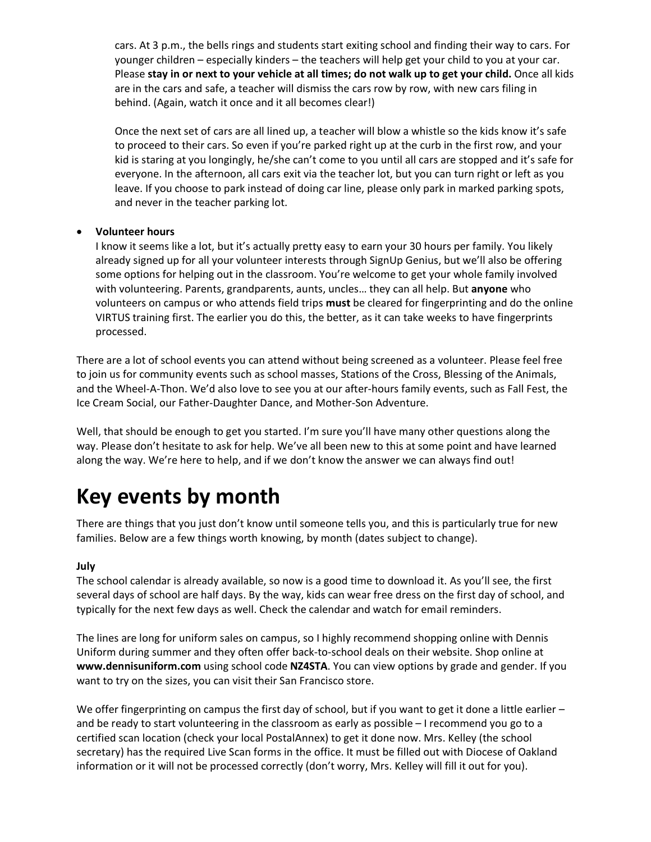cars. At 3 p.m., the bells rings and students start exiting school and finding their way to cars. For younger children – especially kinders – the teachers will help get your child to you at your car. Please **stay in or next to your vehicle at all times; do not walk up to get your child.** Once all kids are in the cars and safe, a teacher will dismiss the cars row by row, with new cars filing in behind. (Again, watch it once and it all becomes clear!)

Once the next set of cars are all lined up, a teacher will blow a whistle so the kids know it's safe to proceed to their cars. So even if you're parked right up at the curb in the first row, and your kid is staring at you longingly, he/she can't come to you until all cars are stopped and it's safe for everyone. In the afternoon, all cars exit via the teacher lot, but you can turn right or left as you leave. If you choose to park instead of doing car line, please only park in marked parking spots, and never in the teacher parking lot.

#### • **Volunteer hours**

I know it seems like a lot, but it's actually pretty easy to earn your 30 hours per family. You likely already signed up for all your volunteer interests through SignUp Genius, but we'll also be offering some options for helping out in the classroom. You're welcome to get your whole family involved with volunteering. Parents, grandparents, aunts, uncles… they can all help. But **anyone** who volunteers on campus or who attends field trips **must** be cleared for fingerprinting and do the online VIRTUS training first. The earlier you do this, the better, as it can take weeks to have fingerprints processed.

There are a lot of school events you can attend without being screened as a volunteer. Please feel free to join us for community events such as school masses, Stations of the Cross, Blessing of the Animals, and the Wheel-A-Thon. We'd also love to see you at our after-hours family events, such as Fall Fest, the Ice Cream Social, our Father-Daughter Dance, and Mother-Son Adventure.

Well, that should be enough to get you started. I'm sure you'll have many other questions along the way. Please don't hesitate to ask for help. We've all been new to this at some point and have learned along the way. We're here to help, and if we don't know the answer we can always find out!

# **Key events by month**

There are things that you just don't know until someone tells you, and this is particularly true for new families. Below are a few things worth knowing, by month (dates subject to change).

# **July**

The school calendar is already available, so now is a good time to download it. As you'll see, the first several days of school are half days. By the way, kids can wear free dress on the first day of school, and typically for the next few days as well. Check the calendar and watch for email reminders.

The lines are long for uniform sales on campus, so I highly recommend shopping online with Dennis Uniform during summer and they often offer back-to-school deals on their website. Shop online at **www.dennisuniform.com** using school code **NZ4STA**. You can view options by grade and gender. If you want to try on the sizes, you can visit their San Francisco store.

We offer fingerprinting on campus the first day of school, but if you want to get it done a little earlier – and be ready to start volunteering in the classroom as early as possible – I recommend you go to a certified scan location (check your local PostalAnnex) to get it done now. Mrs. Kelley (the school secretary) has the required Live Scan forms in the office. It must be filled out with Diocese of Oakland information or it will not be processed correctly (don't worry, Mrs. Kelley will fill it out for you).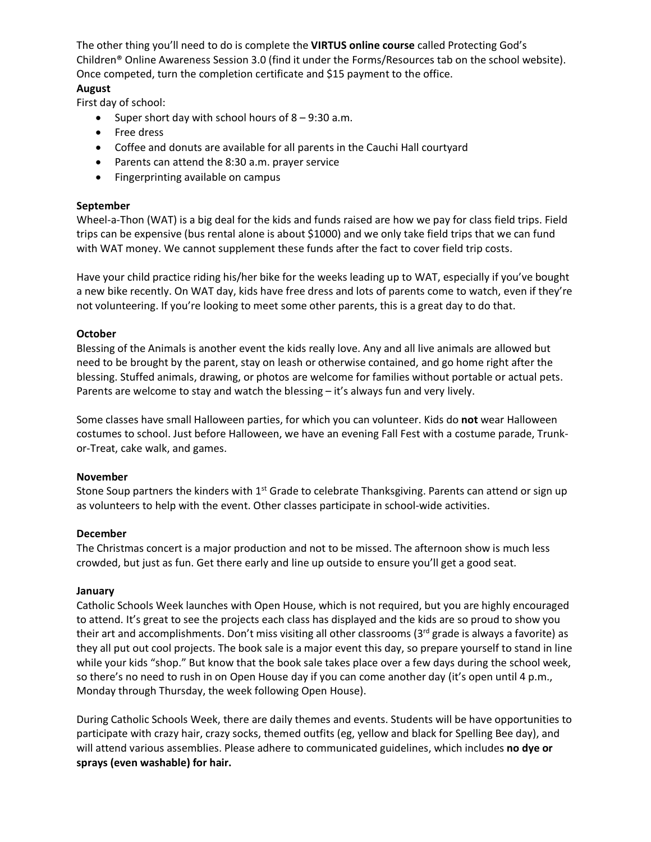The other thing you'll need to do is complete the **VIRTUS online course** called Protecting God's Children® Online Awareness Session 3.0 (find it under the Forms/Resources tab on the school website). Once competed, turn the completion certificate and \$15 payment to the office. **August**

First day of school:

- Super short day with school hours of  $8 9:30$  a.m.
- Free dress
- Coffee and donuts are available for all parents in the Cauchi Hall courtyard
- Parents can attend the 8:30 a.m. prayer service
- Fingerprinting available on campus

#### **September**

Wheel-a-Thon (WAT) is a big deal for the kids and funds raised are how we pay for class field trips. Field trips can be expensive (bus rental alone is about \$1000) and we only take field trips that we can fund with WAT money. We cannot supplement these funds after the fact to cover field trip costs.

Have your child practice riding his/her bike for the weeks leading up to WAT, especially if you've bought a new bike recently. On WAT day, kids have free dress and lots of parents come to watch, even if they're not volunteering. If you're looking to meet some other parents, this is a great day to do that.

#### **October**

Blessing of the Animals is another event the kids really love. Any and all live animals are allowed but need to be brought by the parent, stay on leash or otherwise contained, and go home right after the blessing. Stuffed animals, drawing, or photos are welcome for families without portable or actual pets. Parents are welcome to stay and watch the blessing – it's always fun and very lively.

Some classes have small Halloween parties, for which you can volunteer. Kids do **not** wear Halloween costumes to school. Just before Halloween, we have an evening Fall Fest with a costume parade, Trunkor-Treat, cake walk, and games.

#### **November**

Stone Soup partners the kinders with 1<sup>st</sup> Grade to celebrate Thanksgiving. Parents can attend or sign up as volunteers to help with the event. Other classes participate in school-wide activities.

#### **December**

The Christmas concert is a major production and not to be missed. The afternoon show is much less crowded, but just as fun. Get there early and line up outside to ensure you'll get a good seat.

#### **January**

Catholic Schools Week launches with Open House, which is not required, but you are highly encouraged to attend. It's great to see the projects each class has displayed and the kids are so proud to show you their art and accomplishments. Don't miss visiting all other classrooms (3rd grade is always a favorite) as they all put out cool projects. The book sale is a major event this day, so prepare yourself to stand in line while your kids "shop." But know that the book sale takes place over a few days during the school week, so there's no need to rush in on Open House day if you can come another day (it's open until 4 p.m., Monday through Thursday, the week following Open House).

During Catholic Schools Week, there are daily themes and events. Students will be have opportunities to participate with crazy hair, crazy socks, themed outfits (eg, yellow and black for Spelling Bee day), and will attend various assemblies. Please adhere to communicated guidelines, which includes **no dye or sprays (even washable) for hair.**